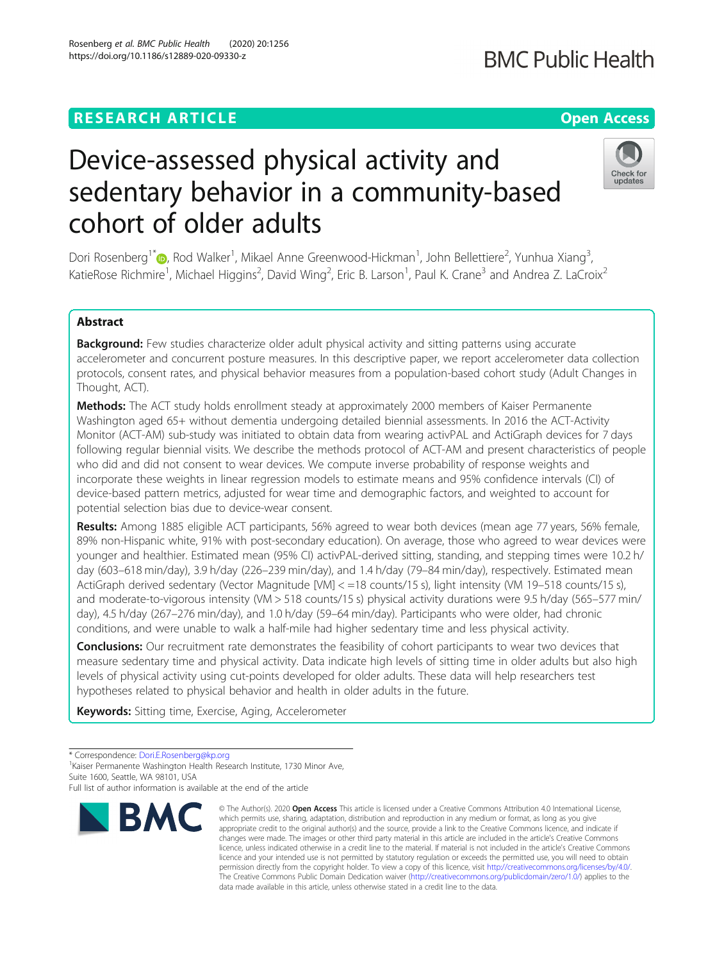## **RESEARCH ARTICLE Example 2014 12:30 The Contract of Contract ACCESS**

# Device-assessed physical activity and sedentary behavior in a community-based cohort of older adults

Dori Rosenberg<sup>1\*</sup>®, Rod Walker<sup>1</sup>, Mikael Anne Greenwood-Hickman<sup>1</sup>, John Bellettiere<sup>2</sup>, Yunhua Xiang<sup>3</sup> , KatieRose Richmire<sup>1</sup>, Michael Higgins<sup>2</sup>, David Wing<sup>2</sup>, Eric B. Larson<sup>1</sup>, Paul K. Crane<sup>3</sup> and Andrea Z. LaCroix<sup>2</sup>

### Abstract

Background: Few studies characterize older adult physical activity and sitting patterns using accurate accelerometer and concurrent posture measures. In this descriptive paper, we report accelerometer data collection protocols, consent rates, and physical behavior measures from a population-based cohort study (Adult Changes in Thought, ACT).

**Methods:** The ACT study holds enrollment steady at approximately 2000 members of Kaiser Permanente Washington aged 65+ without dementia undergoing detailed biennial assessments. In 2016 the ACT-Activity Monitor (ACT-AM) sub-study was initiated to obtain data from wearing activPAL and ActiGraph devices for 7 days following regular biennial visits. We describe the methods protocol of ACT-AM and present characteristics of people who did and did not consent to wear devices. We compute inverse probability of response weights and incorporate these weights in linear regression models to estimate means and 95% confidence intervals (CI) of device-based pattern metrics, adjusted for wear time and demographic factors, and weighted to account for potential selection bias due to device-wear consent.

Results: Among 1885 eligible ACT participants, 56% agreed to wear both devices (mean age 77 years, 56% female, 89% non-Hispanic white, 91% with post-secondary education). On average, those who agreed to wear devices were younger and healthier. Estimated mean (95% CI) activPAL-derived sitting, standing, and stepping times were 10.2 h/ day (603–618 min/day), 3.9 h/day (226–239 min/day), and 1.4 h/day (79–84 min/day), respectively. Estimated mean ActiGraph derived sedentary (Vector Magnitude [VM] < =18 counts/15 s), light intensity (VM 19–518 counts/15 s), and moderate-to-vigorous intensity (VM > 518 counts/15 s) physical activity durations were 9.5 h/day (565–577 min/ day), 4.5 h/day (267–276 min/day), and 1.0 h/day (59–64 min/day). Participants who were older, had chronic conditions, and were unable to walk a half-mile had higher sedentary time and less physical activity.

**Conclusions:** Our recruitment rate demonstrates the feasibility of cohort participants to wear two devices that measure sedentary time and physical activity. Data indicate high levels of sitting time in older adults but also high levels of physical activity using cut-points developed for older adults. These data will help researchers test hypotheses related to physical behavior and health in older adults in the future.

Keywords: Sitting time, Exercise, Aging, Accelerometer

**BMC** 

<sup>1</sup> Kaiser Permanente Washington Health Research Institute, 1730 Minor Ave, Suite 1600, Seattle, WA 98101, USA

© The Author(s), 2020 **Open Access** This article is licensed under a Creative Commons Attribution 4.0 International License, which permits use, sharing, adaptation, distribution and reproduction in any medium or format, as long as you give





<sup>\*</sup> Correspondence: [Dori.E.Rosenberg@kp.org](mailto:Dori.E.Rosenberg@kp.org) <sup>1</sup>

Full list of author information is available at the end of the article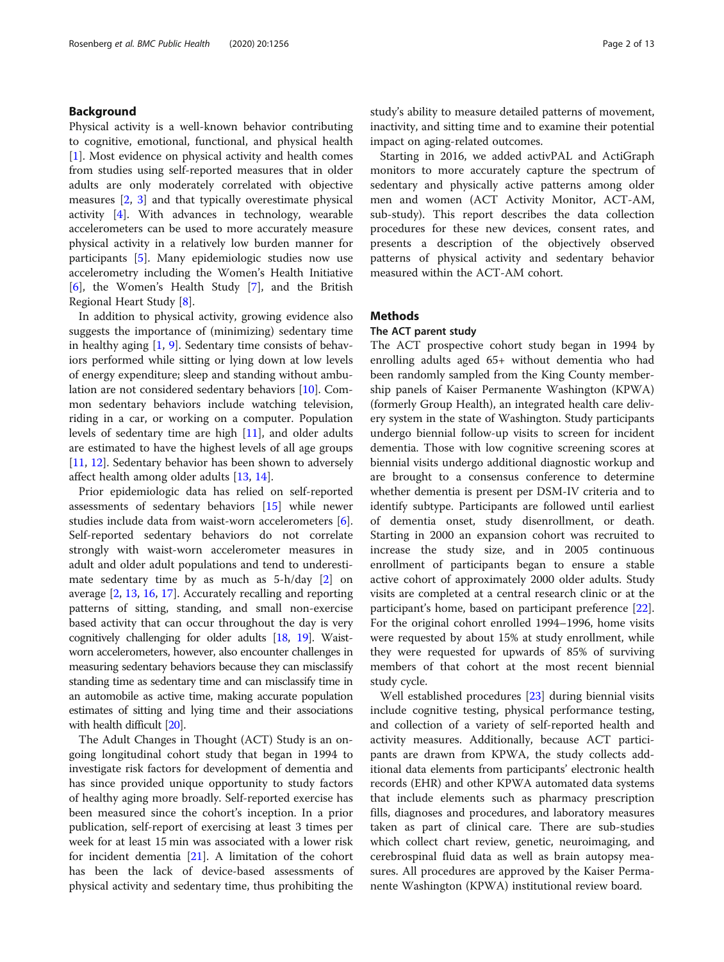#### Background

Physical activity is a well-known behavior contributing to cognitive, emotional, functional, and physical health [[1\]](#page-11-0). Most evidence on physical activity and health comes from studies using self-reported measures that in older adults are only moderately correlated with objective measures [[2,](#page-11-0) [3\]](#page-11-0) and that typically overestimate physical activity [\[4](#page-11-0)]. With advances in technology, wearable accelerometers can be used to more accurately measure physical activity in a relatively low burden manner for participants [\[5](#page-11-0)]. Many epidemiologic studies now use accelerometry including the Women's Health Initiative [[6\]](#page-11-0), the Women's Health Study [[7\]](#page-11-0), and the British Regional Heart Study [\[8](#page-11-0)].

In addition to physical activity, growing evidence also suggests the importance of (minimizing) sedentary time in healthy aging [[1,](#page-11-0) [9\]](#page-11-0). Sedentary time consists of behaviors performed while sitting or lying down at low levels of energy expenditure; sleep and standing without ambulation are not considered sedentary behaviors [[10\]](#page-11-0). Common sedentary behaviors include watching television, riding in a car, or working on a computer. Population levels of sedentary time are high [[11](#page-11-0)], and older adults are estimated to have the highest levels of all age groups [[11,](#page-11-0) [12\]](#page-11-0). Sedentary behavior has been shown to adversely affect health among older adults [\[13,](#page-11-0) [14\]](#page-11-0).

Prior epidemiologic data has relied on self-reported assessments of sedentary behaviors [[15\]](#page-11-0) while newer studies include data from waist-worn accelerometers [\[6](#page-11-0)]. Self-reported sedentary behaviors do not correlate strongly with waist-worn accelerometer measures in adult and older adult populations and tend to underestimate sedentary time by as much as 5-h/day [[2\]](#page-11-0) on average [\[2](#page-11-0), [13,](#page-11-0) [16,](#page-11-0) [17\]](#page-12-0). Accurately recalling and reporting patterns of sitting, standing, and small non-exercise based activity that can occur throughout the day is very cognitively challenging for older adults [\[18,](#page-12-0) [19\]](#page-12-0). Waistworn accelerometers, however, also encounter challenges in measuring sedentary behaviors because they can misclassify standing time as sedentary time and can misclassify time in an automobile as active time, making accurate population estimates of sitting and lying time and their associations with health difficult [[20\]](#page-12-0).

The Adult Changes in Thought (ACT) Study is an ongoing longitudinal cohort study that began in 1994 to investigate risk factors for development of dementia and has since provided unique opportunity to study factors of healthy aging more broadly. Self-reported exercise has been measured since the cohort's inception. In a prior publication, self-report of exercising at least 3 times per week for at least 15 min was associated with a lower risk for incident dementia [[21\]](#page-12-0). A limitation of the cohort has been the lack of device-based assessments of physical activity and sedentary time, thus prohibiting the study's ability to measure detailed patterns of movement, inactivity, and sitting time and to examine their potential impact on aging-related outcomes.

Starting in 2016, we added activPAL and ActiGraph monitors to more accurately capture the spectrum of sedentary and physically active patterns among older men and women (ACT Activity Monitor, ACT-AM, sub-study). This report describes the data collection procedures for these new devices, consent rates, and presents a description of the objectively observed patterns of physical activity and sedentary behavior measured within the ACT-AM cohort.

#### **Methods**

#### The ACT parent study

The ACT prospective cohort study began in 1994 by enrolling adults aged 65+ without dementia who had been randomly sampled from the King County membership panels of Kaiser Permanente Washington (KPWA) (formerly Group Health), an integrated health care delivery system in the state of Washington. Study participants undergo biennial follow-up visits to screen for incident dementia. Those with low cognitive screening scores at biennial visits undergo additional diagnostic workup and are brought to a consensus conference to determine whether dementia is present per DSM-IV criteria and to identify subtype. Participants are followed until earliest of dementia onset, study disenrollment, or death. Starting in 2000 an expansion cohort was recruited to increase the study size, and in 2005 continuous enrollment of participants began to ensure a stable active cohort of approximately 2000 older adults. Study visits are completed at a central research clinic or at the participant's home, based on participant preference [\[22](#page-12-0)]. For the original cohort enrolled 1994–1996, home visits were requested by about 15% at study enrollment, while they were requested for upwards of 85% of surviving members of that cohort at the most recent biennial study cycle.

Well established procedures [[23](#page-12-0)] during biennial visits include cognitive testing, physical performance testing, and collection of a variety of self-reported health and activity measures. Additionally, because ACT participants are drawn from KPWA, the study collects additional data elements from participants' electronic health records (EHR) and other KPWA automated data systems that include elements such as pharmacy prescription fills, diagnoses and procedures, and laboratory measures taken as part of clinical care. There are sub-studies which collect chart review, genetic, neuroimaging, and cerebrospinal fluid data as well as brain autopsy measures. All procedures are approved by the Kaiser Permanente Washington (KPWA) institutional review board.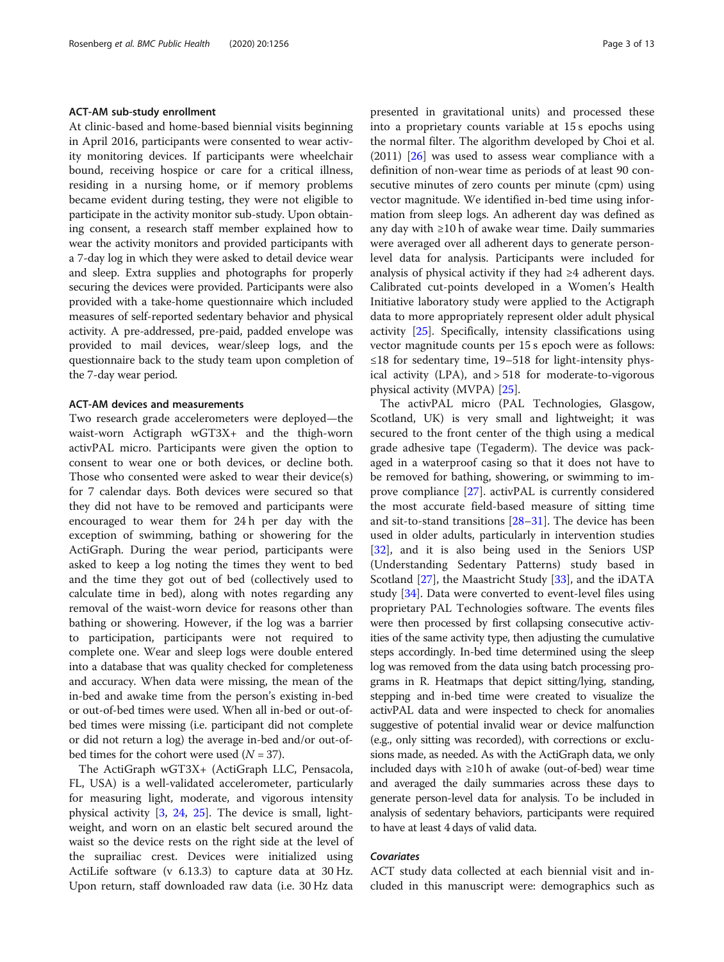#### ACT-AM sub-study enrollment

At clinic-based and home-based biennial visits beginning in April 2016, participants were consented to wear activity monitoring devices. If participants were wheelchair bound, receiving hospice or care for a critical illness, residing in a nursing home, or if memory problems became evident during testing, they were not eligible to participate in the activity monitor sub-study. Upon obtaining consent, a research staff member explained how to wear the activity monitors and provided participants with a 7-day log in which they were asked to detail device wear and sleep. Extra supplies and photographs for properly securing the devices were provided. Participants were also provided with a take-home questionnaire which included measures of self-reported sedentary behavior and physical activity. A pre-addressed, pre-paid, padded envelope was provided to mail devices, wear/sleep logs, and the questionnaire back to the study team upon completion of the 7-day wear period.

#### ACT-AM devices and measurements

Two research grade accelerometers were deployed—the waist-worn Actigraph wGT3X+ and the thigh-worn activPAL micro. Participants were given the option to consent to wear one or both devices, or decline both. Those who consented were asked to wear their device(s) for 7 calendar days. Both devices were secured so that they did not have to be removed and participants were encouraged to wear them for 24 h per day with the exception of swimming, bathing or showering for the ActiGraph. During the wear period, participants were asked to keep a log noting the times they went to bed and the time they got out of bed (collectively used to calculate time in bed), along with notes regarding any removal of the waist-worn device for reasons other than bathing or showering. However, if the log was a barrier to participation, participants were not required to complete one. Wear and sleep logs were double entered into a database that was quality checked for completeness and accuracy. When data were missing, the mean of the in-bed and awake time from the person's existing in-bed or out-of-bed times were used. When all in-bed or out-ofbed times were missing (i.e. participant did not complete or did not return a log) the average in-bed and/or out-ofbed times for the cohort were used  $(N = 37)$ .

The ActiGraph wGT3X+ (ActiGraph LLC, Pensacola, FL, USA) is a well-validated accelerometer, particularly for measuring light, moderate, and vigorous intensity physical activity [[3,](#page-11-0) [24](#page-12-0), [25\]](#page-12-0). The device is small, lightweight, and worn on an elastic belt secured around the waist so the device rests on the right side at the level of the suprailiac crest. Devices were initialized using ActiLife software (v 6.13.3) to capture data at 30 Hz. Upon return, staff downloaded raw data (i.e. 30 Hz data presented in gravitational units) and processed these into a proprietary counts variable at 15 s epochs using the normal filter. The algorithm developed by Choi et al.  $(2011)$   $[26]$  was used to assess wear compliance with a definition of non-wear time as periods of at least 90 consecutive minutes of zero counts per minute (cpm) using vector magnitude. We identified in-bed time using information from sleep logs. An adherent day was defined as any day with  $\geq 10$  h of awake wear time. Daily summaries were averaged over all adherent days to generate personlevel data for analysis. Participants were included for analysis of physical activity if they had ≥4 adherent days. Calibrated cut-points developed in a Women's Health Initiative laboratory study were applied to the Actigraph data to more appropriately represent older adult physical activity [\[25](#page-12-0)]. Specifically, intensity classifications using vector magnitude counts per 15 s epoch were as follows: ≤18 for sedentary time, 19–518 for light-intensity physical activity (LPA), and > 518 for moderate-to-vigorous physical activity (MVPA) [\[25\]](#page-12-0).

The activPAL micro (PAL Technologies, Glasgow, Scotland, UK) is very small and lightweight; it was secured to the front center of the thigh using a medical grade adhesive tape (Tegaderm). The device was packaged in a waterproof casing so that it does not have to be removed for bathing, showering, or swimming to improve compliance [[27](#page-12-0)]. activPAL is currently considered the most accurate field-based measure of sitting time and sit-to-stand transitions [[28](#page-12-0)–[31](#page-12-0)]. The device has been used in older adults, particularly in intervention studies [[32\]](#page-12-0), and it is also being used in the Seniors USP (Understanding Sedentary Patterns) study based in Scotland [\[27\]](#page-12-0), the Maastricht Study [\[33](#page-12-0)], and the iDATA study [[34\]](#page-12-0). Data were converted to event-level files using proprietary PAL Technologies software. The events files were then processed by first collapsing consecutive activities of the same activity type, then adjusting the cumulative steps accordingly. In-bed time determined using the sleep log was removed from the data using batch processing programs in R. Heatmaps that depict sitting/lying, standing, stepping and in-bed time were created to visualize the activPAL data and were inspected to check for anomalies suggestive of potential invalid wear or device malfunction (e.g., only sitting was recorded), with corrections or exclusions made, as needed. As with the ActiGraph data, we only included days with ≥10 h of awake (out-of-bed) wear time and averaged the daily summaries across these days to generate person-level data for analysis. To be included in analysis of sedentary behaviors, participants were required to have at least 4 days of valid data.

#### Covariates

ACT study data collected at each biennial visit and included in this manuscript were: demographics such as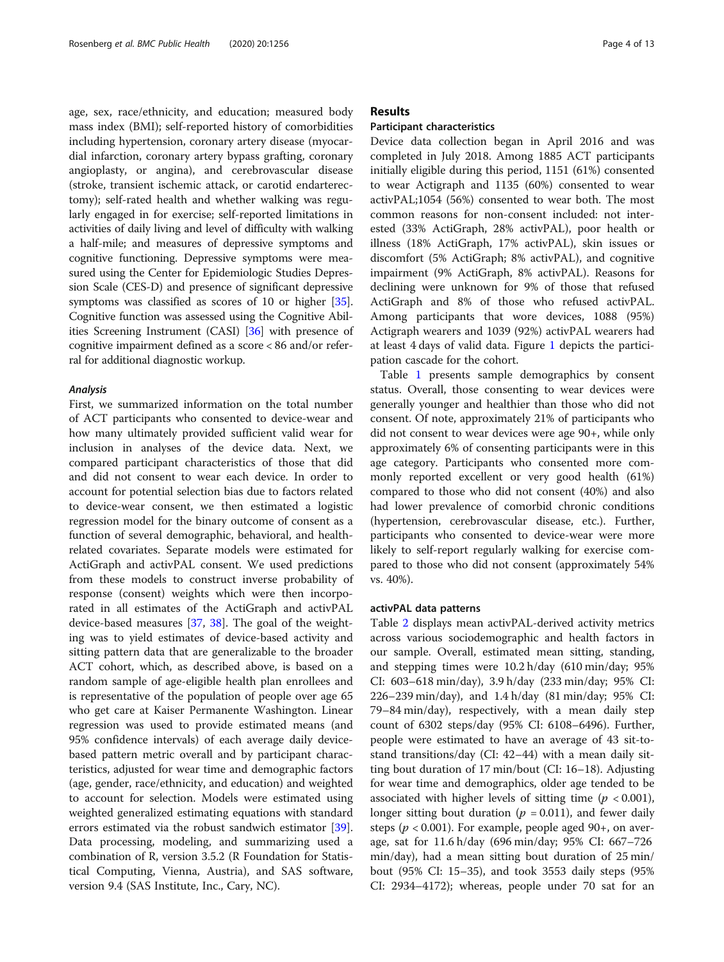age, sex, race/ethnicity, and education; measured body mass index (BMI); self-reported history of comorbidities including hypertension, coronary artery disease (myocardial infarction, coronary artery bypass grafting, coronary angioplasty, or angina), and cerebrovascular disease (stroke, transient ischemic attack, or carotid endarterectomy); self-rated health and whether walking was regularly engaged in for exercise; self-reported limitations in activities of daily living and level of difficulty with walking a half-mile; and measures of depressive symptoms and cognitive functioning. Depressive symptoms were measured using the Center for Epidemiologic Studies Depression Scale (CES-D) and presence of significant depressive symptoms was classified as scores of 10 or higher [[35](#page-12-0)]. Cognitive function was assessed using the Cognitive Abilities Screening Instrument (CASI) [[36](#page-12-0)] with presence of cognitive impairment defined as a score < 86 and/or referral for additional diagnostic workup.

#### Analysis

First, we summarized information on the total number of ACT participants who consented to device-wear and how many ultimately provided sufficient valid wear for inclusion in analyses of the device data. Next, we compared participant characteristics of those that did and did not consent to wear each device. In order to account for potential selection bias due to factors related to device-wear consent, we then estimated a logistic regression model for the binary outcome of consent as a function of several demographic, behavioral, and healthrelated covariates. Separate models were estimated for ActiGraph and activPAL consent. We used predictions from these models to construct inverse probability of response (consent) weights which were then incorporated in all estimates of the ActiGraph and activPAL device-based measures [\[37,](#page-12-0) [38](#page-12-0)]. The goal of the weighting was to yield estimates of device-based activity and sitting pattern data that are generalizable to the broader ACT cohort, which, as described above, is based on a random sample of age-eligible health plan enrollees and is representative of the population of people over age 65 who get care at Kaiser Permanente Washington. Linear regression was used to provide estimated means (and 95% confidence intervals) of each average daily devicebased pattern metric overall and by participant characteristics, adjusted for wear time and demographic factors (age, gender, race/ethnicity, and education) and weighted to account for selection. Models were estimated using weighted generalized estimating equations with standard errors estimated via the robust sandwich estimator [\[39](#page-12-0)]. Data processing, modeling, and summarizing used a combination of R, version 3.5.2 (R Foundation for Statistical Computing, Vienna, Austria), and SAS software, version 9.4 (SAS Institute, Inc., Cary, NC).

#### Results

#### Participant characteristics

Device data collection began in April 2016 and was completed in July 2018. Among 1885 ACT participants initially eligible during this period, 1151 (61%) consented to wear Actigraph and 1135 (60%) consented to wear activPAL;1054 (56%) consented to wear both. The most common reasons for non-consent included: not interested (33% ActiGraph, 28% activPAL), poor health or illness (18% ActiGraph, 17% activPAL), skin issues or discomfort (5% ActiGraph; 8% activPAL), and cognitive impairment (9% ActiGraph, 8% activPAL). Reasons for declining were unknown for 9% of those that refused ActiGraph and 8% of those who refused activPAL. Among participants that wore devices, 1088 (95%) Actigraph wearers and 1039 (92%) activPAL wearers had at least 4 days of valid data. Figure [1](#page-4-0) depicts the participation cascade for the cohort.

Table [1](#page-5-0) presents sample demographics by consent status. Overall, those consenting to wear devices were generally younger and healthier than those who did not consent. Of note, approximately 21% of participants who did not consent to wear devices were age 90+, while only approximately 6% of consenting participants were in this age category. Participants who consented more commonly reported excellent or very good health (61%) compared to those who did not consent (40%) and also had lower prevalence of comorbid chronic conditions (hypertension, cerebrovascular disease, etc.). Further, participants who consented to device-wear were more likely to self-report regularly walking for exercise compared to those who did not consent (approximately 54% vs. 40%).

#### activPAL data patterns

Table [2](#page-6-0) displays mean activPAL-derived activity metrics across various sociodemographic and health factors in our sample. Overall, estimated mean sitting, standing, and stepping times were 10.2 h/day (610 min/day; 95% CI: 603–618 min/day), 3.9 h/day (233 min/day; 95% CI: 226–239 min/day), and 1.4 h/day (81 min/day; 95% CI: 79–84 min/day), respectively, with a mean daily step count of 6302 steps/day (95% CI: 6108–6496). Further, people were estimated to have an average of 43 sit-tostand transitions/day (CI: 42–44) with a mean daily sitting bout duration of 17 min/bout (CI: 16–18). Adjusting for wear time and demographics, older age tended to be associated with higher levels of sitting time ( $p < 0.001$ ), longer sitting bout duration ( $p = 0.011$ ), and fewer daily steps ( $p < 0.001$ ). For example, people aged 90+, on average, sat for 11.6 h/day (696 min/day; 95% CI: 667–726 min/day), had a mean sitting bout duration of 25 min/ bout (95% CI: 15–35), and took 3553 daily steps (95% CI: 2934–4172); whereas, people under 70 sat for an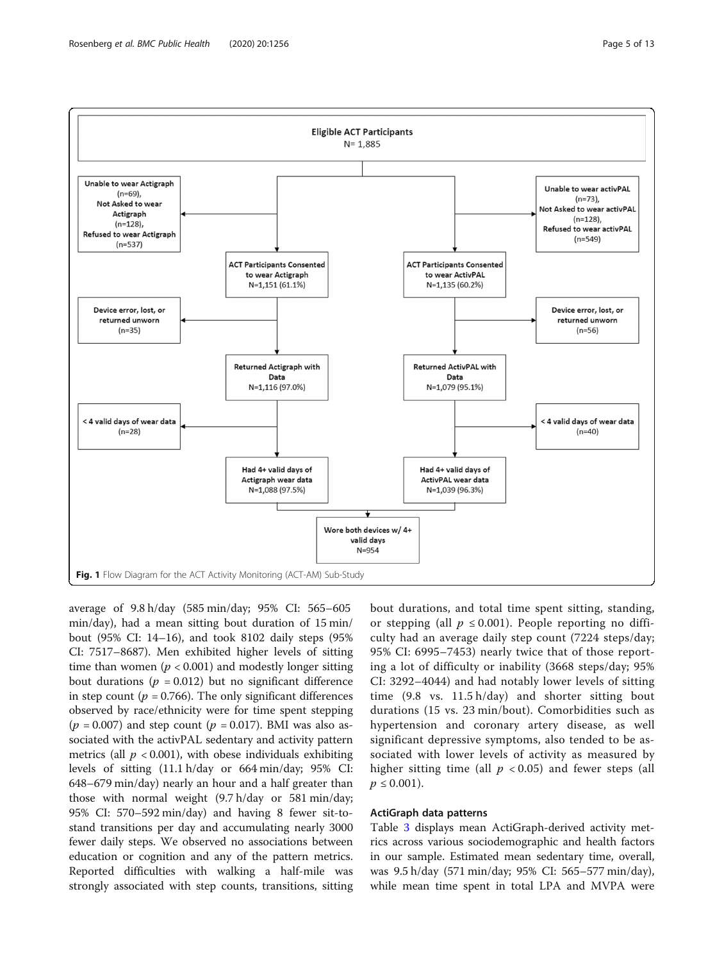

<span id="page-4-0"></span>

average of 9.8 h/day (585 min/day; 95% CI: 565–605 min/day), had a mean sitting bout duration of 15 min/ bout (95% CI: 14–16), and took 8102 daily steps (95% CI: 7517–8687). Men exhibited higher levels of sitting time than women ( $p < 0.001$ ) and modestly longer sitting bout durations ( $p = 0.012$ ) but no significant difference in step count ( $p = 0.766$ ). The only significant differences observed by race/ethnicity were for time spent stepping  $(p = 0.007)$  and step count  $(p = 0.017)$ . BMI was also associated with the activPAL sedentary and activity pattern metrics (all  $p < 0.001$ ), with obese individuals exhibiting levels of sitting (11.1 h/day or 664 min/day; 95% CI: 648–679 min/day) nearly an hour and a half greater than those with normal weight (9.7 h/day or 581 min/day; 95% CI: 570–592 min/day) and having 8 fewer sit-tostand transitions per day and accumulating nearly 3000 fewer daily steps. We observed no associations between education or cognition and any of the pattern metrics. Reported difficulties with walking a half-mile was strongly associated with step counts, transitions, sitting

bout durations, and total time spent sitting, standing, or stepping (all  $p \le 0.001$ ). People reporting no difficulty had an average daily step count (7224 steps/day; 95% CI: 6995–7453) nearly twice that of those reporting a lot of difficulty or inability (3668 steps/day; 95% CI: 3292–4044) and had notably lower levels of sitting time (9.8 vs. 11.5 h/day) and shorter sitting bout durations (15 vs. 23 min/bout). Comorbidities such as hypertension and coronary artery disease, as well significant depressive symptoms, also tended to be associated with lower levels of activity as measured by higher sitting time (all  $p < 0.05$ ) and fewer steps (all  $p \leq 0.001$ ).

#### ActiGraph data patterns

Table [3](#page-8-0) displays mean ActiGraph-derived activity metrics across various sociodemographic and health factors in our sample. Estimated mean sedentary time, overall, was 9.5 h/day (571 min/day; 95% CI: 565–577 min/day), while mean time spent in total LPA and MVPA were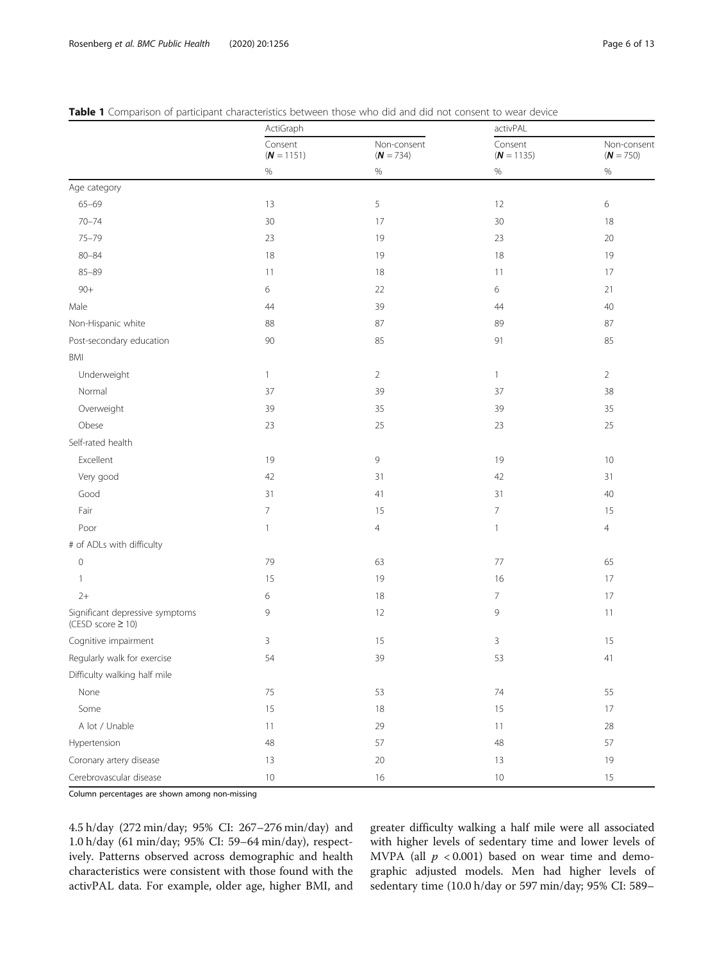|                                                           | ActiGraph               |                            | activPAL                |                            |  |
|-----------------------------------------------------------|-------------------------|----------------------------|-------------------------|----------------------------|--|
|                                                           | Consent<br>$(N = 1151)$ | Non-consent<br>$(N = 734)$ | Consent<br>$(N = 1135)$ | Non-consent<br>$(N = 750)$ |  |
|                                                           | $\%$                    | $\%$                       | $\%$                    | $\%$                       |  |
| Age category                                              |                         |                            |                         |                            |  |
| $65 - 69$                                                 | 13                      | 5                          | 12                      | 6                          |  |
| $70 - 74$                                                 | 30                      | 17                         | 30                      | 18                         |  |
| $75 - 79$                                                 | 23                      | 19                         | 23                      | 20                         |  |
| $80 - 84$                                                 | 18                      | 19                         | 18                      | 19                         |  |
| $85 - 89$                                                 | 11                      | $18\,$                     | 11                      | 17                         |  |
| $90 +$                                                    | 6                       | 22                         | 6                       | 21                         |  |
| Male                                                      | 44                      | 39                         | 44                      | 40                         |  |
| Non-Hispanic white                                        | 88                      | 87                         | 89                      | 87                         |  |
| Post-secondary education                                  | 90                      | 85                         | 91                      | 85                         |  |
| BMI                                                       |                         |                            |                         |                            |  |
| Underweight                                               | 1                       | 2                          | $\mathbf{1}$            | $\overline{2}$             |  |
| Normal                                                    | 37                      | 39                         | 37                      | 38                         |  |
| Overweight                                                | 39                      | 35                         | 39                      | 35                         |  |
| Obese                                                     | 23                      | 25                         | 23                      | 25                         |  |
| Self-rated health                                         |                         |                            |                         |                            |  |
| Excellent                                                 | 19                      | 9                          | 19                      | 10                         |  |
| Very good                                                 | 42                      | 31                         | 42                      | 31                         |  |
| Good                                                      | 31                      | 41                         | 31                      | 40                         |  |
| Fair                                                      | 7                       | 15                         | $\overline{7}$          | 15                         |  |
| Poor                                                      | 1                       | 4                          | $\mathbf{1}$            | $\overline{4}$             |  |
| # of ADLs with difficulty                                 |                         |                            |                         |                            |  |
| $\mathsf{O}\xspace$                                       | 79                      | 63                         | $77$                    | 65                         |  |
| 1                                                         | 15                      | 19                         | 16                      | 17                         |  |
| $2+$                                                      | 6                       | 18                         | $\overline{7}$          | 17                         |  |
| Significant depressive symptoms<br>(CESD score $\geq$ 10) | 9                       | 12                         | 9                       | 11                         |  |
| Cognitive impairment                                      | 3                       | 15                         | 3                       | 15                         |  |
| Regularly walk for exercise                               | 54                      | 39                         | 53                      | 41                         |  |
| Difficulty walking half mile                              |                         |                            |                         |                            |  |
| None                                                      | 75                      | 53                         | $74\,$                  | 55                         |  |
| Some                                                      | 15                      | $18\,$                     | 15                      | 17                         |  |
| A lot / Unable                                            | 11                      | 29                         | 11                      | 28                         |  |
| Hypertension                                              | 48                      | 57                         | $48\,$                  | 57                         |  |
| Coronary artery disease                                   | 13                      | $20\,$                     | 13                      | 19                         |  |
| Cerebrovascular disease                                   | $10$                    | 16                         | $10\,$                  | 15                         |  |

<span id="page-5-0"></span>

|  | <b>Table 1</b> Comparison of participant characteristics between those who did and did not consent to wear device |  |  |  |  |  |  |  |  |  |
|--|-------------------------------------------------------------------------------------------------------------------|--|--|--|--|--|--|--|--|--|
|--|-------------------------------------------------------------------------------------------------------------------|--|--|--|--|--|--|--|--|--|

Column percentages are shown among non-missing

4.5 h/day (272 min/day; 95% CI: 267–276 min/day) and 1.0 h/day (61 min/day; 95% CI: 59–64 min/day), respectively. Patterns observed across demographic and health characteristics were consistent with those found with the activPAL data. For example, older age, higher BMI, and

greater difficulty walking a half mile were all associated with higher levels of sedentary time and lower levels of MVPA (all  $p < 0.001$ ) based on wear time and demographic adjusted models. Men had higher levels of sedentary time (10.0 h/day or 597 min/day; 95% CI: 589–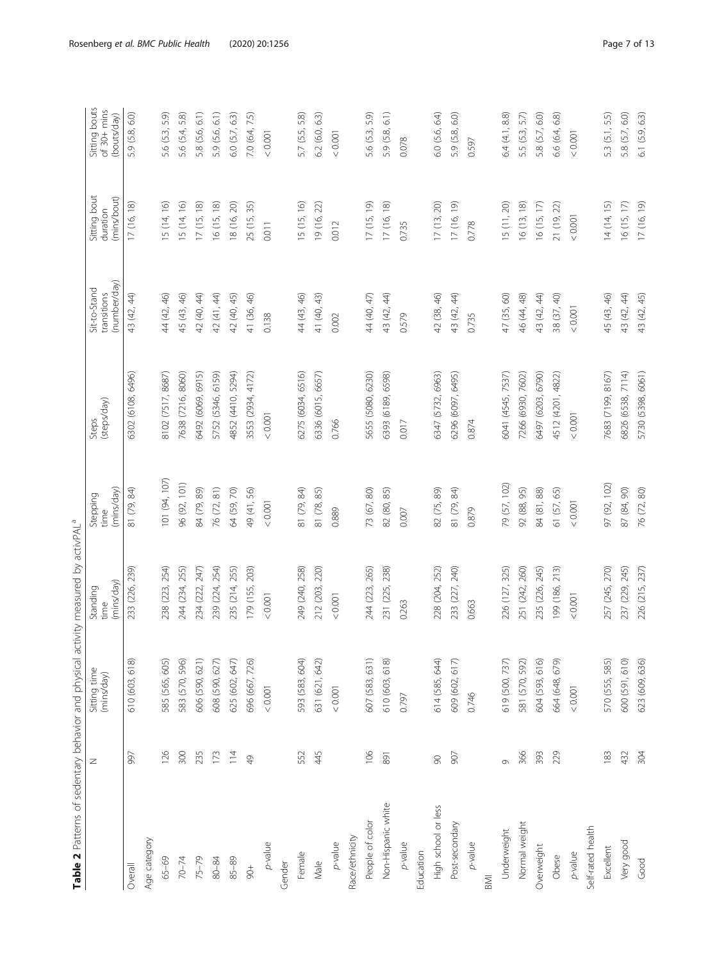<span id="page-6-0"></span>

| Table 2 Patterns of sedentary behavior and physical activity measured by activPAL <sup>a</sup> |               |                            |                                |                                |                      |                                             |                                         |                                             |
|------------------------------------------------------------------------------------------------|---------------|----------------------------|--------------------------------|--------------------------------|----------------------|---------------------------------------------|-----------------------------------------|---------------------------------------------|
|                                                                                                | Z             | Sitting time<br>(mins/day) | (mins/day)<br>Standing<br>time | (mins/day)<br>Stepping<br>time | Steps<br>(steps/day) | (number/day)<br>Sit-to-Stand<br>transitions | Sitting bout<br>(mins/bout)<br>duration | Sitting bouts<br>of 30+ mins<br>(bouts/day) |
| Overall                                                                                        | 997           | 610 (603, 618)             | 233 (226, 239)                 | 81 (79, 84)                    | 6302 (6108, 6496)    | 43 (42, 44)                                 | 17 (16, 18)                             | 5.9 (5.8, 6.0)                              |
| Age category                                                                                   |               |                            |                                |                                |                      |                                             |                                         |                                             |
| 65-69                                                                                          | 126           | 585 (565, 605)             | 238 (223, 254)                 | 101 (94, 107)                  | 3102 (7517, 8687)    | 44 (42, 46)                                 | 5 (14, 16)                              | 5.6 (5.3, 5.9)                              |
| $70 - 74$                                                                                      | 300           | 583 (570, 596)             | 244 (234, 255)                 | 96 (92, 101)                   | 7638 (7216, 8060)    | 45 (43, 46)                                 | 15 (14, 16)                             | 5.6 (5.4, 5.8)                              |
| $75 - 79$                                                                                      | 235           | 606 (590, 621)             | 234 (222, 247)                 | 84 (79, 89)                    | 6492 (6069, 6915)    | 42 (40, 44)                                 | 17(15, 18)                              | 5.8 (5.6, 6.1)                              |
| $80 - 84$                                                                                      | 173           | 608 (590, 627)             | 239 (224, 254)                 | 76 (72, 81)                    | 5752 (5346, 6159)    | 42 (41, 44)                                 | 16 (15, 18)                             | 5.9 (5.6, 6.1)                              |
| $85 - 89$                                                                                      | 114           | 625 (602, 647)             | 235 (214, 255)                 | 64 (59, 70)                    | 4852 (4410, 5294)    | 42 (40, 45)                                 | 18 (16, 20)                             | 6.0(5.7, 6.3)                               |
| $\frac{1}{8}$                                                                                  | $\frac{1}{2}$ | 696 (667, 726)             | 179 (155, 203)                 | 49 (41, 56)                    | 3553 (2934, 4172)    | 41 (36, 46)                                 | 25 (15, 35)                             | 7.0 (6.4, 7.5)                              |
| p-value                                                                                        |               | $<0.001$                   | < 0.001                        | $<0.001$                       | 0.001                | 0.138                                       | 0.011                                   | < 0.001                                     |
| Gender                                                                                         |               |                            |                                |                                |                      |                                             |                                         |                                             |
| Female                                                                                         | 552           | 593 (583, 604)             | 249 (240, 258)                 | 81 (79, 84)                    | 6275 (6034, 6516)    | 44 (43, 46)                                 | 15 (15, 16)                             | 5.7 (5.5, 5.8)                              |
| Male                                                                                           | 445           | 631 (621, 642)             | 212 (203, 220)                 | 81 (78, 85)                    | 5336 (6015, 6657)    | 41 (40, 43)                                 | 19 (16, 22)                             | 6.2(6.0, 6.3)                               |
| $p$ -value                                                                                     |               | $< 0.001$                  | < 0.001                        | 0.889                          | 0.766                | 0.002                                       | 0.012                                   | < 0.001                                     |
| Race/ethnicity                                                                                 |               |                            |                                |                                |                      |                                             |                                         |                                             |
| People of color                                                                                | 106           | 607 (583, 631)             | 244 (223, 265)                 | 73 (67, 80)                    | 5655 (5080, 6230)    | 44 (40, 47)                                 | 17(15, 19)                              | 5.6 (5.3, 5.9)                              |
| Non-Hispanic white                                                                             | 891           | 610 (603, 618)             | 231 (225, 238)                 | 82 (80, 85)                    | 6393 (6189, 6598)    | 43 (42, 44)                                 | 17(16, 18)                              | 5.9 (5.8, 6.1)                              |
| p-value                                                                                        |               | 0.797                      | 0.263                          | 0.007                          | 0.017                | 0.579                                       | 0.735                                   | 0.078                                       |
| Education                                                                                      |               |                            |                                |                                |                      |                                             |                                         |                                             |
| High school or less                                                                            | $\infty$      | 614 (585, 644)             | 228 (204, 252)                 | 82 (75, 89)                    | 6347 (5732, 6963)    | 42 (38, 46)                                 | 17(13, 20)                              | 6.0(5.6, 6.4)                               |
| Post-secondary                                                                                 | 907           | 609 (602, 617)             | 233 (227, 240)                 | 81 (79, 84)                    | 6296 (6097, 6495)    | 43 (42, 44)                                 | 17 (16, 19)                             | 5.9 (5.8, 6.0)                              |
| p-value                                                                                        |               | 0.746                      | 0.663                          | 0.879                          | 0.874                | 0.735                                       | 0.778                                   | 0.597                                       |
| BMI                                                                                            |               |                            |                                |                                |                      |                                             |                                         |                                             |
| Underweight                                                                                    | $\circ$       | 619 (500, 737)             | 226 (127, 325)                 | 79 (57, 102)                   | 6041 (4545, 7537)    | 47 (35, 60)                                 | 15(11, 20)                              | 6.4(4.1, 8.8)                               |
| Normal weight                                                                                  | 366           | 581 (570, 592)             | 251 (242, 260)                 | 92 (88, 95)                    | 7266 (6930, 7602)    | 46 (44, 48)                                 | 16(13, 18)                              | 5.5 (5.3, 5.7)                              |
| Overweight                                                                                     | 393           | 604 (593, 616)             | 235 (226, 245)                 | 84 (81, 88)                    | 6497 (6203, 6790)    | 43 (42, 44)                                 | 16 (15, 17)                             | 5.8 (5.7, 6.0)                              |
| Obese                                                                                          | 229           | 664 (648, 679)             | 199 (186, 213)                 | 61 (57, 65)                    | 4512 (4201, 4822)    | 38 (37, 40)                                 | 21 (19, 22)                             | 6.6 (6.4, 6.8)                              |
| p-value                                                                                        |               | 0.001                      | 0.001                          | < 0.001                        | < 0.001              | < 0.001                                     | < 0.001                                 | < 0.001                                     |
| Self-rated health                                                                              |               |                            |                                |                                |                      |                                             |                                         |                                             |
| Excellent                                                                                      | 183           | 570 (555, 585)             | 257 (245, 270)                 | 97 (92, 102)                   | 7683 (7199, 8167)    | 45 (43, 46)                                 | 14 (14, 15)                             | 5.3 (5.1, 5.5)                              |
| Very good                                                                                      | 432           | 600 (591, 610)             | 237 (229, 245)                 | 87 (84, 90)                    | 6826 (6538, 7114)    | 43 (42, 44)                                 | 16 (15, 17)                             | 5.8 (5.7, 6.0)                              |
| Good                                                                                           | 304           | 623 (609, 636)             | 226 (215, 237)                 | 76 (72, 80)                    | 5730 (5398, 6061)    | 43 (42, 45)                                 | 17 (16, 19)                             | 6.1(5.9, 6.3)                               |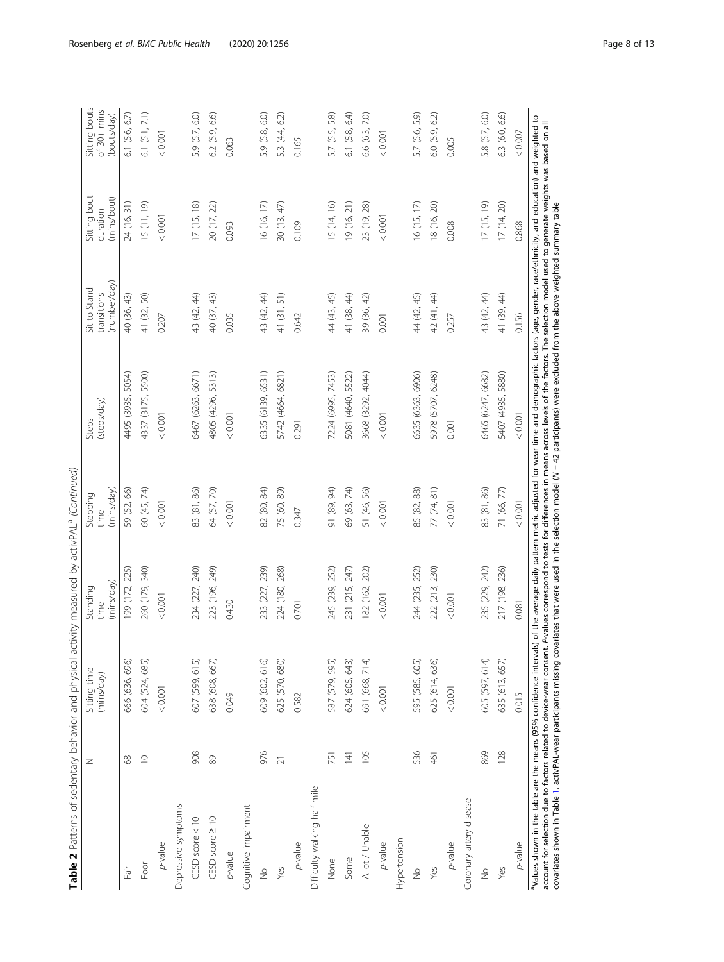| Table 2 Patterns of sedentary behavior and physical activity measured by activPAL <sup>a</sup> (Continued)                                                                                                         |                 |                            |                                |                                |                      |                                             |                                         |                                                      |
|--------------------------------------------------------------------------------------------------------------------------------------------------------------------------------------------------------------------|-----------------|----------------------------|--------------------------------|--------------------------------|----------------------|---------------------------------------------|-----------------------------------------|------------------------------------------------------|
|                                                                                                                                                                                                                    | Z               | Sitting time<br>(mins/day) | (mins/day)<br>Standing<br>time | (mins/day)<br>Stepping<br>time | (steps/day)<br>Steps | (number/day)<br>Sit-to-Stand<br>transitions | Sitting bout<br>(mins/bout)<br>duration | Sitting bouts<br>of $30 + \text{min}$<br>(bouts/day) |
| Fair                                                                                                                                                                                                               | 89              | 666 (636, 696)             | 199 (172, 225)                 | 59 (52, 66)                    | 4495 (3935, 5054)    | 40 (36, 43)                                 | 24 (16, 31)                             | 6.1(5.6, 6.7)                                        |
| Poor                                                                                                                                                                                                               | $\supseteq$     | 604 (524, 685)             | 260 (179, 340)                 | 60 (45, 74)                    | 4337 (3175, 5500)    | 41 (32, 50)                                 | 15 (11, 19)                             | 6.1(5.1, 7.1)                                        |
| p-value                                                                                                                                                                                                            |                 | 0.001                      | 10000                          | 0.001                          | 10000                | 0.207                                       | < 0.001                                 | $<0.001$                                             |
| Depressive symptoms                                                                                                                                                                                                |                 |                            |                                |                                |                      |                                             |                                         |                                                      |
| $CESD$ score $< 10$                                                                                                                                                                                                | 908             | 607 (599, 615)             | 234 (227, 240)                 | 83 (81, 86)                    | 6467 (6263, 6671)    | 43 (42, 44)                                 | 17(15, 18)                              | 5.9 (5.7, 6.0)                                       |
| CESD score 210                                                                                                                                                                                                     | 89              | 638 (608, 667)             | 223 (196, 249)                 | 64 (57, 70)                    | 4805 (4296, 5313)    | 40 (37, 43)                                 | 20 (17, 22)                             | $6.2$ $(5.9, 6.6)$                                   |
| p-value                                                                                                                                                                                                            |                 | 0.049                      | 0.430                          | < 0.001                        | 10000                | 0.035                                       | 0.093                                   | 0.063                                                |
| Cognitive impairment                                                                                                                                                                                               |                 |                            |                                |                                |                      |                                             |                                         |                                                      |
| $\frac{\circ}{\mathbb{Z}}$                                                                                                                                                                                         | 976             | 609 (602, 616)             | 233 (227, 239)                 | 82 (80, 84)                    | 6335 (6139, 6531)    | 43 (42, 44)                                 | 16 (16, 17)                             | 5.9 (5.8, 6.0)                                       |
| Yes                                                                                                                                                                                                                | $\overline{21}$ | 625 (570, 680)             | 224 (180, 268)                 | 75 (60, 89)                    | 5742 (4664, 6821)    | 41 (31, 51)                                 | 30(13, 47)                              | 5.3 (4.4, 6.2)                                       |
| p-value                                                                                                                                                                                                            |                 | 0.582                      | 0.701                          | 0.347                          | 0.291                | 0.642                                       | 0.109                                   | 0.165                                                |
| Difficulty walking half mile                                                                                                                                                                                       |                 |                            |                                |                                |                      |                                             |                                         |                                                      |
| None                                                                                                                                                                                                               | 751             | 587 (579, 595)             | 245 (239, 252)                 | 91 (89, 94)                    | 7224 (6995, 7453)    | 44 (43, 45)                                 | 15 (14, 16)                             | 5.7 (5.5, 5.8)                                       |
| Some                                                                                                                                                                                                               | 141             | 624 (605, 643)             | 231 (215, 247)                 | 69 (63, 74)                    | 5081 (4640, 5522)    | 41 (38, 44)                                 | 19 (16, 21)                             | $6.1$ $(5.8, 6.4)$                                   |
| A lot / Unable                                                                                                                                                                                                     | 105             | 691 (668, 714)             | 182 (162, 202)                 | 51 (46, 56)                    | 3668 (3292, 4044)    | 39 (36, 42)                                 | 23 (19, 28)                             | 6.6 (6.3, 7.0)                                       |
| p-value                                                                                                                                                                                                            |                 | 0.001                      | 10000                          | < 0.001                        | < 0.001              | 0.001                                       | $< 0.001$                               | < 0.001                                              |
| Hypertension                                                                                                                                                                                                       |                 |                            |                                |                                |                      |                                             |                                         |                                                      |
| $\frac{1}{2}$                                                                                                                                                                                                      | 536             | 595 (585, 605)             | 244 (235, 252)                 | 85 (82, 88)                    | 5635 (6363, 6906)    | 44 (42, 45)                                 | 16(15, 17)                              | 5.7 (5.6, 5.9)                                       |
| Yes                                                                                                                                                                                                                | 461             | 625 (614, 636)             | 222 (213, 230)                 | 77 (74, 81)                    | 5978 (5707, 6248)    | 42 (41, 44)                                 | 18 (16, 20)                             | 6.0 (5.9, 6.2)                                       |
| p-value                                                                                                                                                                                                            |                 | < 0.001                    | 10000                          | $<0.001$                       | 0.001                | 0.257                                       | 0.008                                   | 0.005                                                |
| Coronary artery disease                                                                                                                                                                                            |                 |                            |                                |                                |                      |                                             |                                         |                                                      |
| $\frac{1}{2}$                                                                                                                                                                                                      | 869             | 605 (597, 614)             | 235 (229, 242)                 | 83 (81, 86)                    | 6465 (6247, 6682)    | 43 (42, 44)                                 | 17(15, 19)                              | 5.8 (5.7, 6.0)                                       |
| Yes                                                                                                                                                                                                                | 128             | 635 (613, 657)             | 217 (198, 236)                 | 71 (66, 77)                    | 5407 (4935, 5880)    | 41 (39, 44)                                 | 17(14, 20)                              | 6.3(6.0, 6.6)                                        |
| p-value                                                                                                                                                                                                            |                 | 0.015                      | 0.081                          | < 0.001                        | < 0.001              | 0.156                                       | 0.868                                   | < 0.007                                              |
| Values shown in the table are the means (95% confidence intervals) of the average daily pattern metric adjusted for wear time and demographic factors (age, gender, race/ethnicity, and education) and weighted to |                 |                            |                                |                                |                      |                                             |                                         |                                                      |

a alues shown in the table are the means (95% confidence intervals) of the average daily pattern metric adjusted for wear time and demographic factors (age, gender, race/ethnicity, and education) and weighted to account fo account for selection due to factors related to device-wear consent. P-values correspond to tests for differences in means across levels of the factors. The selection model used to generate weights was based on all covariates shown in Table [1](#page-5-0). activPAL-wear participants missing covariates that were used in the selection model (N = 42 participants) were excluded from the above weighted summary table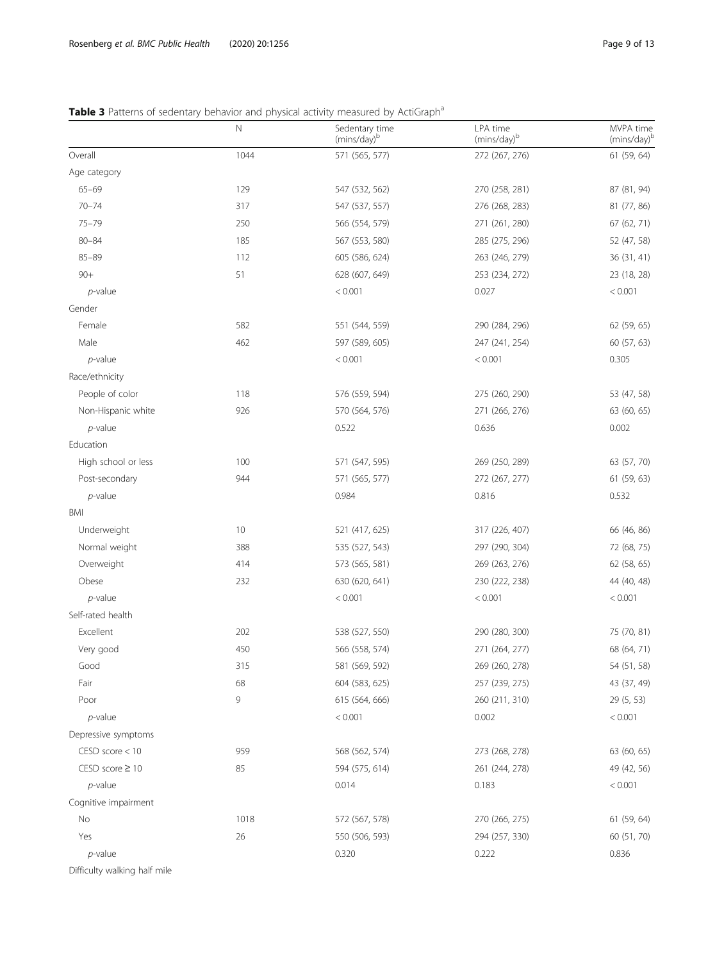#### <span id="page-8-0"></span>Table 3 Patterns of sedentary behavior and physical activity measured by ActiGraph<sup>a</sup>

|                              | $\hbox{N}$ | Sedentary time<br>(mins/day) <sup>b</sup> | LPA time<br>(mins/day) <sup>b</sup> | MVPA time<br>(mins/day) <sup>t</sup> |
|------------------------------|------------|-------------------------------------------|-------------------------------------|--------------------------------------|
| Overall                      | 1044       | 571 (565, 577)                            | 272 (267, 276)                      | 61 (59, 64)                          |
| Age category                 |            |                                           |                                     |                                      |
| $65 - 69$                    | 129        | 547 (532, 562)                            | 270 (258, 281)                      | 87 (81, 94)                          |
| $70 - 74$                    | 317        | 547 (537, 557)                            | 276 (268, 283)                      | 81 (77, 86)                          |
| $75 - 79$                    | 250        | 566 (554, 579)                            | 271 (261, 280)                      | 67 (62, 71)                          |
| $80 - 84$                    | 185        | 567 (553, 580)                            | 285 (275, 296)                      | 52 (47, 58)                          |
| $85 - 89$                    | 112        | 605 (586, 624)                            | 263 (246, 279)                      | 36 (31, 41)                          |
| $90+$                        | 51         | 628 (607, 649)                            | 253 (234, 272)                      | 23 (18, 28)                          |
| $p$ -value                   |            | < 0.001                                   | 0.027                               | < 0.001                              |
| Gender                       |            |                                           |                                     |                                      |
| Female                       | 582        | 551 (544, 559)                            | 290 (284, 296)                      | 62 (59, 65)                          |
| Male                         | 462        | 597 (589, 605)                            | 247 (241, 254)                      | 60 (57, 63)                          |
| $p$ -value                   |            | < 0.001                                   | < 0.001                             | 0.305                                |
| Race/ethnicity               |            |                                           |                                     |                                      |
| People of color              | 118        | 576 (559, 594)                            | 275 (260, 290)                      | 53 (47, 58)                          |
| Non-Hispanic white           | 926        | 570 (564, 576)                            | 271 (266, 276)                      | 63 (60, 65)                          |
| $p$ -value                   |            | 0.522                                     | 0.636                               | 0.002                                |
| Education                    |            |                                           |                                     |                                      |
| High school or less          | 100        | 571 (547, 595)                            | 269 (250, 289)                      | 63 (57, 70)                          |
| Post-secondary               | 944        | 571 (565, 577)                            | 272 (267, 277)                      | 61 (59, 63)                          |
| $p$ -value                   |            | 0.984                                     | 0.816                               | 0.532                                |
| BMI                          |            |                                           |                                     |                                      |
| Underweight                  | 10         | 521 (417, 625)                            | 317 (226, 407)                      | 66 (46, 86)                          |
| Normal weight                | 388        | 535 (527, 543)                            | 297 (290, 304)                      | 72 (68, 75)                          |
| Overweight                   | 414        | 573 (565, 581)                            | 269 (263, 276)                      | 62 (58, 65)                          |
| Obese                        | 232        | 630 (620, 641)                            | 230 (222, 238)                      | 44 (40, 48)                          |
| $p$ -value                   |            | < 0.001                                   | < 0.001                             | < 0.001                              |
| Self-rated health            |            |                                           |                                     |                                      |
| Excellent                    | 202        | 538 (527, 550)                            | 290 (280, 300)                      | 75 (70, 81)                          |
| Very good                    | 450        | 566 (558, 574)                            | 271 (264, 277)                      | 68 (64, 71)                          |
| Good                         | 315        | 581 (569, 592)                            | 269 (260, 278)                      | 54 (51, 58)                          |
| Fair                         | 68         | 604 (583, 625)                            | 257 (239, 275)                      | 43 (37, 49)                          |
| Poor                         | 9          | 615 (564, 666)                            | 260 (211, 310)                      | 29 (5, 53)                           |
| $p$ -value                   |            | < 0.001                                   | 0.002                               | < 0.001                              |
| Depressive symptoms          |            |                                           |                                     |                                      |
| CESD score < 10              | 959        | 568 (562, 574)                            | 273 (268, 278)                      | 63 (60, 65)                          |
| $CESD score \ge 10$          | 85         | 594 (575, 614)                            | 261 (244, 278)                      | 49 (42, 56)                          |
| $p$ -value                   |            | 0.014                                     | 0.183                               | < 0.001                              |
| Cognitive impairment         |            |                                           |                                     |                                      |
| No                           | 1018       | 572 (567, 578)                            | 270 (266, 275)                      | 61 (59, 64)                          |
| Yes                          | 26         | 550 (506, 593)                            | 294 (257, 330)                      | 60 (51, 70)                          |
| $p$ -value                   |            | 0.320                                     | 0.222                               | 0.836                                |
| Difficulty walking half mile |            |                                           |                                     |                                      |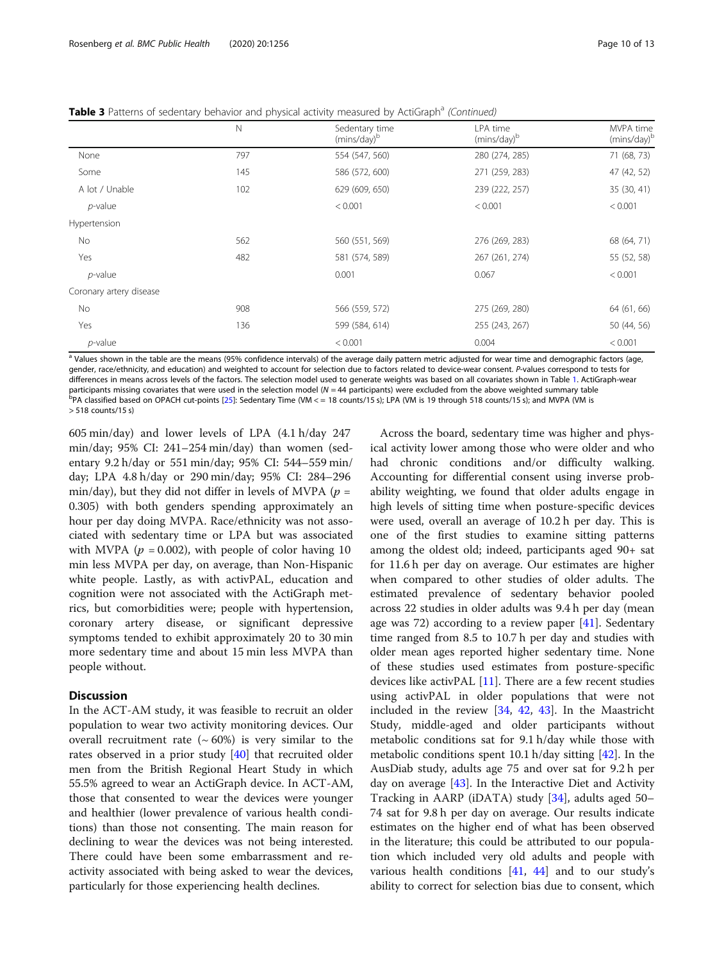**Table 3** Patterns of sedentary behavior and physical activity measured by ActiGraph<sup>a</sup> (Continued)

|                         | Ν   | Sedentary time<br>(mins/day) <sup>b</sup> | LPA time<br>(mins/day) <sup>b</sup> | MVPA time<br>(mins/day)b |
|-------------------------|-----|-------------------------------------------|-------------------------------------|--------------------------|
| None                    | 797 | 554 (547, 560)                            | 280 (274, 285)                      | 71 (68, 73)              |
| Some                    | 145 | 586 (572, 600)                            | 271 (259, 283)                      | 47 (42, 52)              |
| A lot / Unable          | 102 | 629 (609, 650)                            | 239 (222, 257)                      | 35 (30, 41)              |
| $p$ -value              |     | < 0.001                                   | < 0.001                             | < 0.001                  |
| Hypertension            |     |                                           |                                     |                          |
| No                      | 562 | 560 (551, 569)                            | 276 (269, 283)                      | 68 (64, 71)              |
| Yes                     | 482 | 581 (574, 589)                            | 267 (261, 274)                      | 55 (52, 58)              |
| $p$ -value              |     | 0.001                                     | 0.067                               | < 0.001                  |
| Coronary artery disease |     |                                           |                                     |                          |
| No                      | 908 | 566 (559, 572)                            | 275 (269, 280)                      | 64 (61, 66)              |
| Yes                     | 136 | 599 (584, 614)                            | 255 (243, 267)                      | 50 (44, 56)              |
| $p$ -value              |     | < 0.001                                   | 0.004                               | < 0.001                  |

<sup>a</sup> Values shown in the table are the means (95% confidence intervals) of the average daily pattern metric adjusted for wear time and demographic factors (age, gender, race/ethnicity, and education) and weighted to account for selection due to factors related to device-wear consent. P-values correspond to tests for differences in means across levels of the factors. The selection model used to generate weights was based on all covariates shown in Table [1.](#page-5-0) ActiGraph-wear participants missing covariates that were used in the selection model  $(N = 44$  participants) were excluded from the above weighted summary table  $PPA$  classified based on OPACH cut-points [[25\]](#page-12-0): Sedentary Time (VM < = 18 counts/15 s); LPA (VM is 19 through 518 counts/15 s); and MVPA (VM is > 518 counts/15 s)

605 min/day) and lower levels of LPA (4.1 h/day 247 min/day; 95% CI: 241–254 min/day) than women (sedentary 9.2 h/day or 551 min/day; 95% CI: 544–559 min/ day; LPA 4.8 h/day or 290 min/day; 95% CI: 284–296 min/day), but they did not differ in levels of MVPA ( $p =$ 0.305) with both genders spending approximately an hour per day doing MVPA. Race/ethnicity was not associated with sedentary time or LPA but was associated with MVPA ( $p = 0.002$ ), with people of color having 10 min less MVPA per day, on average, than Non-Hispanic white people. Lastly, as with activPAL, education and cognition were not associated with the ActiGraph metrics, but comorbidities were; people with hypertension, coronary artery disease, or significant depressive symptoms tended to exhibit approximately 20 to 30 min more sedentary time and about 15 min less MVPA than people without.

#### **Discussion**

In the ACT-AM study, it was feasible to recruit an older population to wear two activity monitoring devices. Our overall recruitment rate  $({\sim}60%)$  is very similar to the rates observed in a prior study [\[40](#page-12-0)] that recruited older men from the British Regional Heart Study in which 55.5% agreed to wear an ActiGraph device. In ACT-AM, those that consented to wear the devices were younger and healthier (lower prevalence of various health conditions) than those not consenting. The main reason for declining to wear the devices was not being interested. There could have been some embarrassment and reactivity associated with being asked to wear the devices, particularly for those experiencing health declines.

Across the board, sedentary time was higher and physical activity lower among those who were older and who had chronic conditions and/or difficulty walking. Accounting for differential consent using inverse probability weighting, we found that older adults engage in high levels of sitting time when posture-specific devices were used, overall an average of 10.2 h per day. This is one of the first studies to examine sitting patterns among the oldest old; indeed, participants aged 90+ sat for 11.6 h per day on average. Our estimates are higher when compared to other studies of older adults. The estimated prevalence of sedentary behavior pooled across 22 studies in older adults was 9.4 h per day (mean age was 72) according to a review paper [[41\]](#page-12-0). Sedentary time ranged from 8.5 to 10.7 h per day and studies with older mean ages reported higher sedentary time. None of these studies used estimates from posture-specific devices like activPAL [\[11\]](#page-11-0). There are a few recent studies using activPAL in older populations that were not included in the review [[34](#page-12-0), [42](#page-12-0), [43](#page-12-0)]. In the Maastricht Study, middle-aged and older participants without metabolic conditions sat for 9.1 h/day while those with metabolic conditions spent 10.1 h/day sitting [\[42](#page-12-0)]. In the AusDiab study, adults age 75 and over sat for 9.2 h per day on average [\[43](#page-12-0)]. In the Interactive Diet and Activity Tracking in AARP (iDATA) study [[34\]](#page-12-0), adults aged 50– 74 sat for 9.8 h per day on average. Our results indicate estimates on the higher end of what has been observed in the literature; this could be attributed to our population which included very old adults and people with various health conditions  $[41, 44]$  $[41, 44]$  $[41, 44]$  and to our study's ability to correct for selection bias due to consent, which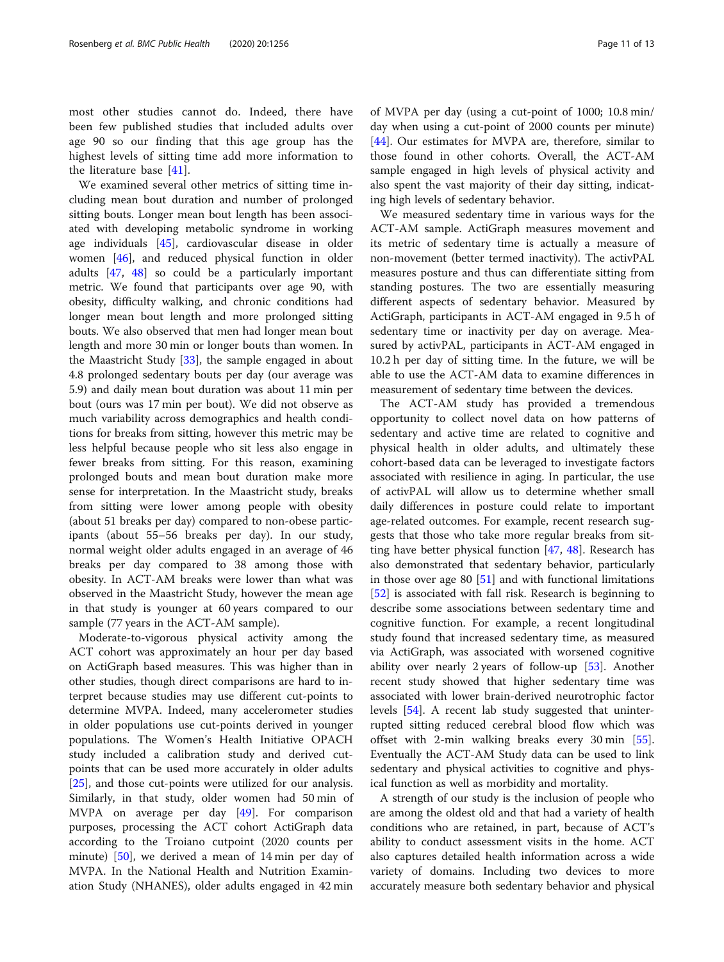most other studies cannot do. Indeed, there have been few published studies that included adults over age 90 so our finding that this age group has the highest levels of sitting time add more information to the literature base [\[41](#page-12-0)].

We examined several other metrics of sitting time including mean bout duration and number of prolonged sitting bouts. Longer mean bout length has been associated with developing metabolic syndrome in working age individuals [\[45](#page-12-0)], cardiovascular disease in older women [[46\]](#page-12-0), and reduced physical function in older adults [\[47](#page-12-0), [48](#page-12-0)] so could be a particularly important metric. We found that participants over age 90, with obesity, difficulty walking, and chronic conditions had longer mean bout length and more prolonged sitting bouts. We also observed that men had longer mean bout length and more 30 min or longer bouts than women. In the Maastricht Study [\[33\]](#page-12-0), the sample engaged in about 4.8 prolonged sedentary bouts per day (our average was 5.9) and daily mean bout duration was about 11 min per bout (ours was 17 min per bout). We did not observe as much variability across demographics and health conditions for breaks from sitting, however this metric may be less helpful because people who sit less also engage in fewer breaks from sitting. For this reason, examining prolonged bouts and mean bout duration make more sense for interpretation. In the Maastricht study, breaks from sitting were lower among people with obesity (about 51 breaks per day) compared to non-obese participants (about 55–56 breaks per day). In our study, normal weight older adults engaged in an average of 46 breaks per day compared to 38 among those with obesity. In ACT-AM breaks were lower than what was observed in the Maastricht Study, however the mean age in that study is younger at 60 years compared to our sample (77 years in the ACT-AM sample).

Moderate-to-vigorous physical activity among the ACT cohort was approximately an hour per day based on ActiGraph based measures. This was higher than in other studies, though direct comparisons are hard to interpret because studies may use different cut-points to determine MVPA. Indeed, many accelerometer studies in older populations use cut-points derived in younger populations. The Women's Health Initiative OPACH study included a calibration study and derived cutpoints that can be used more accurately in older adults [[25\]](#page-12-0), and those cut-points were utilized for our analysis. Similarly, in that study, older women had 50 min of MVPA on average per day [\[49](#page-12-0)]. For comparison purposes, processing the ACT cohort ActiGraph data according to the Troiano cutpoint (2020 counts per minute) [\[50](#page-12-0)], we derived a mean of 14 min per day of MVPA. In the National Health and Nutrition Examination Study (NHANES), older adults engaged in 42 min of MVPA per day (using a cut-point of 1000; 10.8 min/ day when using a cut-point of 2000 counts per minute) [[44\]](#page-12-0). Our estimates for MVPA are, therefore, similar to those found in other cohorts. Overall, the ACT-AM sample engaged in high levels of physical activity and also spent the vast majority of their day sitting, indicating high levels of sedentary behavior.

We measured sedentary time in various ways for the ACT-AM sample. ActiGraph measures movement and its metric of sedentary time is actually a measure of non-movement (better termed inactivity). The activPAL measures posture and thus can differentiate sitting from standing postures. The two are essentially measuring different aspects of sedentary behavior. Measured by ActiGraph, participants in ACT-AM engaged in 9.5 h of sedentary time or inactivity per day on average. Measured by activPAL, participants in ACT-AM engaged in 10.2 h per day of sitting time. In the future, we will be able to use the ACT-AM data to examine differences in measurement of sedentary time between the devices.

The ACT-AM study has provided a tremendous opportunity to collect novel data on how patterns of sedentary and active time are related to cognitive and physical health in older adults, and ultimately these cohort-based data can be leveraged to investigate factors associated with resilience in aging. In particular, the use of activPAL will allow us to determine whether small daily differences in posture could relate to important age-related outcomes. For example, recent research suggests that those who take more regular breaks from sitting have better physical function [[47,](#page-12-0) [48](#page-12-0)]. Research has also demonstrated that sedentary behavior, particularly in those over age 80 [[51\]](#page-12-0) and with functional limitations [[52\]](#page-12-0) is associated with fall risk. Research is beginning to describe some associations between sedentary time and cognitive function. For example, a recent longitudinal study found that increased sedentary time, as measured via ActiGraph, was associated with worsened cognitive ability over nearly 2 years of follow-up  $[53]$  $[53]$ . Another recent study showed that higher sedentary time was associated with lower brain-derived neurotrophic factor levels [[54\]](#page-12-0). A recent lab study suggested that uninterrupted sitting reduced cerebral blood flow which was offset with 2-min walking breaks every 30 min [\[55](#page-12-0)]. Eventually the ACT-AM Study data can be used to link sedentary and physical activities to cognitive and physical function as well as morbidity and mortality.

A strength of our study is the inclusion of people who are among the oldest old and that had a variety of health conditions who are retained, in part, because of ACT's ability to conduct assessment visits in the home. ACT also captures detailed health information across a wide variety of domains. Including two devices to more accurately measure both sedentary behavior and physical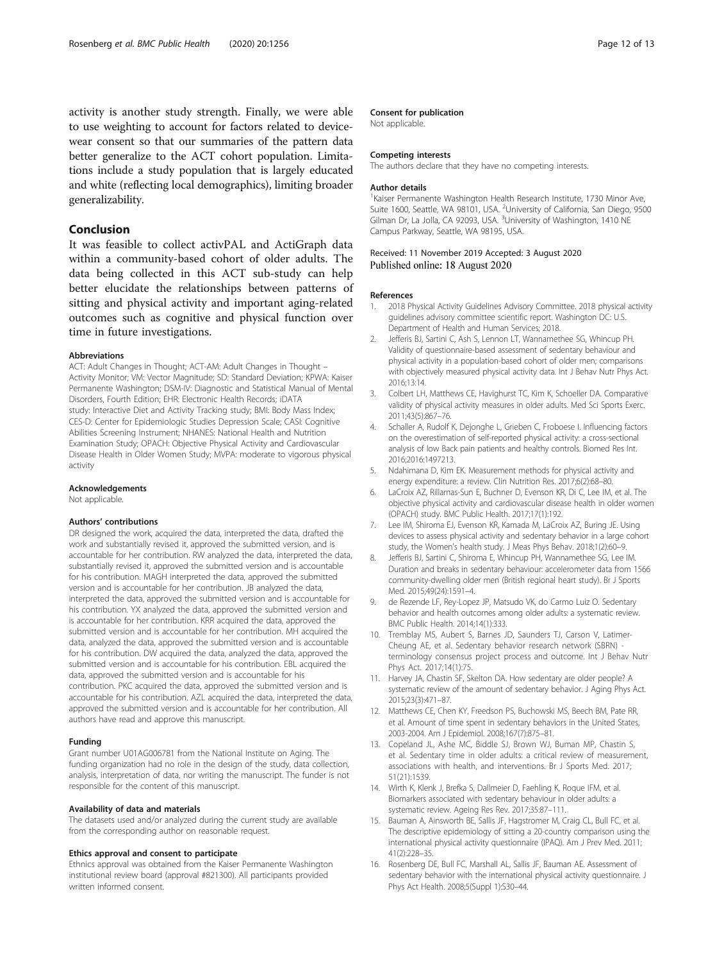<span id="page-11-0"></span>activity is another study strength. Finally, we were able to use weighting to account for factors related to devicewear consent so that our summaries of the pattern data better generalize to the ACT cohort population. Limitations include a study population that is largely educated and white (reflecting local demographics), limiting broader generalizability.

#### Conclusion

It was feasible to collect activPAL and ActiGraph data within a community-based cohort of older adults. The data being collected in this ACT sub-study can help better elucidate the relationships between patterns of sitting and physical activity and important aging-related outcomes such as cognitive and physical function over time in future investigations.

#### Abbreviations

ACT: Adult Changes in Thought; ACT-AM: Adult Changes in Thought – Activity Monitor; VM: Vector Magnitude; SD: Standard Deviation; KPWA: Kaiser Permanente Washington; DSM-IV: Diagnostic and Statistical Manual of Mental Disorders, Fourth Edition; EHR: Electronic Health Records; iDATA study: Interactive Diet and Activity Tracking study; BMI: Body Mass Index; CES-D: Center for Epidemiologic Studies Depression Scale; CASI: Cognitive Abilities Screening Instrument; NHANES: National Health and Nutrition Examination Study; OPACH: Objective Physical Activity and Cardiovascular Disease Health in Older Women Study; MVPA: moderate to vigorous physical activity

#### Acknowledgements

Not applicable.

#### Authors' contributions

DR designed the work, acquired the data, interpreted the data, drafted the work and substantially revised it, approved the submitted version, and is accountable for her contribution. RW analyzed the data, interpreted the data, substantially revised it, approved the submitted version and is accountable for his contribution. MAGH interpreted the data, approved the submitted version and is accountable for her contribution. JB analyzed the data, interpreted the data, approved the submitted version and is accountable for his contribution. YX analyzed the data, approved the submitted version and is accountable for her contribution. KRR acquired the data, approved the submitted version and is accountable for her contribution. MH acquired the data, analyzed the data, approved the submitted version and is accountable for his contribution. DW acquired the data, analyzed the data, approved the submitted version and is accountable for his contribution. EBL acquired the data, approved the submitted version and is accountable for his contribution. PKC acquired the data, approved the submitted version and is accountable for his contribution. AZL acquired the data, interpreted the data, approved the submitted version and is accountable for her contribution. All authors have read and approve this manuscript.

#### Funding

Grant number U01AG006781 from the National Institute on Aging. The funding organization had no role in the design of the study, data collection, analysis, interpretation of data, nor writing the manuscript. The funder is not responsible for the content of this manuscript.

#### Availability of data and materials

The datasets used and/or analyzed during the current study are available from the corresponding author on reasonable request.

#### Ethics approval and consent to participate

Ethnics approval was obtained from the Kaiser Permanente Washington institutional review board (approval #821300). All participants provided written informed consent.

#### Consent for publication

Not applicable.

#### Competing interests

The authors declare that they have no competing interests.

#### Author details

<sup>1</sup> Kaiser Permanente Washington Health Research Institute, 1730 Minor Ave, Suite 1600, Seattle, WA 98101, USA. <sup>2</sup>University of California, San Diego, 9500 Gilman Dr, La Jolla, CA 92093, USA. <sup>3</sup>University of Washington, 1410 NE Campus Parkway, Seattle, WA 98195, USA.

#### Received: 11 November 2019 Accepted: 3 August 2020 Published online: 18 August 2020

#### References

- 1. 2018 Physical Activity Guidelines Advisory Committee. 2018 physical activity guidelines advisory committee scientific report. Washington DC: U.S. Department of Health and Human Services; 2018.
- 2. Jefferis BJ, Sartini C, Ash S, Lennon LT, Wannamethee SG, Whincup PH. Validity of questionnaire-based assessment of sedentary behaviour and physical activity in a population-based cohort of older men; comparisons with objectively measured physical activity data. Int J Behav Nutr Phys Act. 2016;13:14.
- 3. Colbert LH, Matthews CE, Havighurst TC, Kim K, Schoeller DA. Comparative validity of physical activity measures in older adults. Med Sci Sports Exerc. 2011;43(5):867–76.
- 4. Schaller A, Rudolf K, Dejonghe L, Grieben C, Froboese I. Influencing factors on the overestimation of self-reported physical activity: a cross-sectional analysis of low Back pain patients and healthy controls. Biomed Res Int. 2016;2016:1497213.
- 5. Ndahimana D, Kim EK. Measurement methods for physical activity and energy expenditure: a review. Clin Nutrition Res. 2017;6(2):68–80.
- 6. LaCroix AZ, Rillamas-Sun E, Buchner D, Evenson KR, Di C, Lee IM, et al. The objective physical activity and cardiovascular disease health in older women (OPACH) study. BMC Public Health. 2017;17(1):192.
- 7. Lee IM, Shiroma EJ, Evenson KR, Kamada M, LaCroix AZ, Buring JE. Using devices to assess physical activity and sedentary behavior in a large cohort study, the Women's health study. J Meas Phys Behav. 2018;1(2):60–9.
- Jefferis BJ, Sartini C, Shiroma E, Whincup PH, Wannamethee SG, Lee IM. Duration and breaks in sedentary behaviour: accelerometer data from 1566 community-dwelling older men (British regional heart study). Br J Sports Med. 2015;49(24):1591–4.
- 9. de Rezende LF, Rey-Lopez JP, Matsudo VK, do Carmo Luiz O. Sedentary behavior and health outcomes among older adults: a systematic review. BMC Public Health. 2014;14(1):333.
- 10. Tremblay MS, Aubert S, Barnes JD, Saunders TJ, Carson V, Latimer-Cheung AE, et al. Sedentary behavior research network (SBRN) terminology consensus project process and outcome. Int J Behav Nutr Phys Act. 2017;14(1):75.
- 11. Harvey JA, Chastin SF, Skelton DA. How sedentary are older people? A systematic review of the amount of sedentary behavior. J Aging Phys Act. 2015;23(3):471–87.
- 12. Matthews CE, Chen KY, Freedson PS, Buchowski MS, Beech BM, Pate RR, et al. Amount of time spent in sedentary behaviors in the United States, 2003-2004. Am J Epidemiol. 2008;167(7):875–81.
- 13. Copeland JL, Ashe MC, Biddle SJ, Brown WJ, Buman MP, Chastin S, et al. Sedentary time in older adults: a critical review of measurement, associations with health, and interventions. Br J Sports Med. 2017; 51(21):1539.
- 14. Wirth K, Klenk J, Brefka S, Dallmeier D, Faehling K, Roque IFM, et al. Biomarkers associated with sedentary behaviour in older adults: a systematic review. Ageing Res Rev. 2017;35:87–111.
- 15. Bauman A, Ainsworth BE, Sallis JF, Hagstromer M, Craig CL, Bull FC, et al. The descriptive epidemiology of sitting a 20-country comparison using the international physical activity questionnaire (IPAQ). Am J Prev Med. 2011; 41(2):228–35.
- 16. Rosenberg DE, Bull FC, Marshall AL, Sallis JF, Bauman AE. Assessment of sedentary behavior with the international physical activity questionnaire. J Phys Act Health. 2008;5(Suppl 1):S30–44.